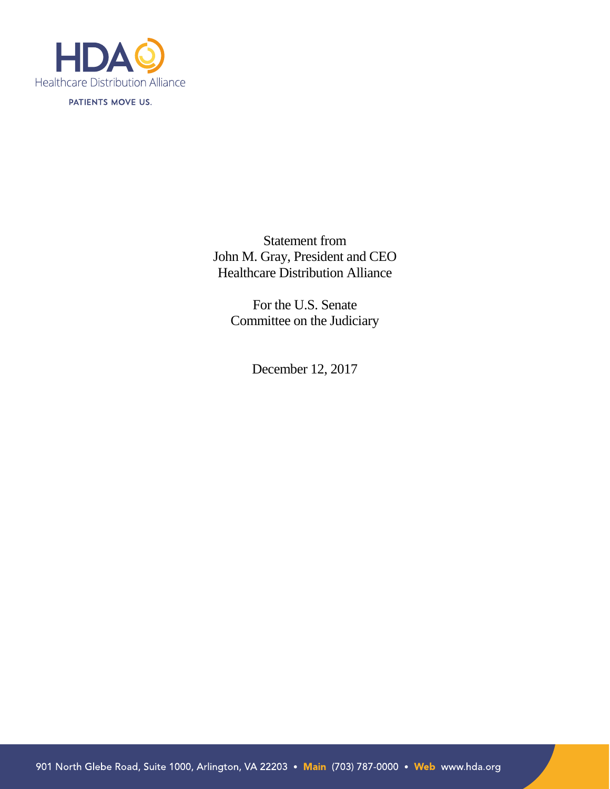

PATIENTS MOVE US.

Statement from John M. Gray, President and CEO Healthcare Distribution Alliance

For the U.S. Senate Committee on the Judiciary

December 12, 2017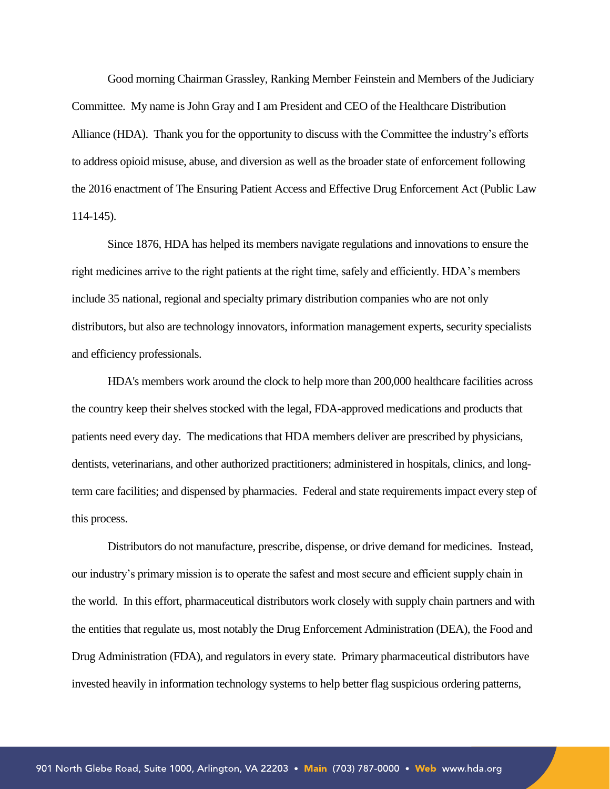Good morning Chairman Grassley, Ranking Member Feinstein and Members of the Judiciary Committee. My name is John Gray and I am President and CEO of the Healthcare Distribution Alliance (HDA). Thank you for the opportunity to discuss with the Committee the industry's efforts to address opioid misuse, abuse, and diversion as well as the broader state of enforcement following the 2016 enactment of The Ensuring Patient Access and Effective Drug Enforcement Act (Public Law 114-145).

Since 1876, HDA has helped its members navigate regulations and innovations to ensure the right medicines arrive to the right patients at the right time, safely and efficiently. HDA's members include [35 national, regional and specialty primary distribution companies](https://www.healthcaredistribution.org/sitecore/service/notfound.aspx?item=web%3a%7b6F7495D5-ED31-46BE-8A56-481155E43B9E%7d%40en) who are not only distributors, but also are technology innovators, information management experts, security specialists and efficiency professionals.

HDA's members work around the clock to help more than 200,000 healthcare facilities across the country keep their shelves stocked with the legal, FDA-approved medications and products that patients need every day. The medications that HDA members deliver are prescribed by physicians, dentists, veterinarians, and other authorized practitioners; administered in hospitals, clinics, and longterm care facilities; and dispensed by pharmacies. Federal and state requirements impact every step of this process.

Distributors do not manufacture, prescribe, dispense, or drive demand for medicines. Instead, our industry's primary mission is to operate the safest and most secure and efficient supply chain in the world. In this effort, pharmaceutical distributors work closely with supply chain partners and with the entities that regulate us, most notably the Drug Enforcement Administration (DEA), the Food and Drug Administration (FDA), and regulators in every state. Primary pharmaceutical distributors have invested heavily in information technology systems to help better flag suspicious ordering patterns,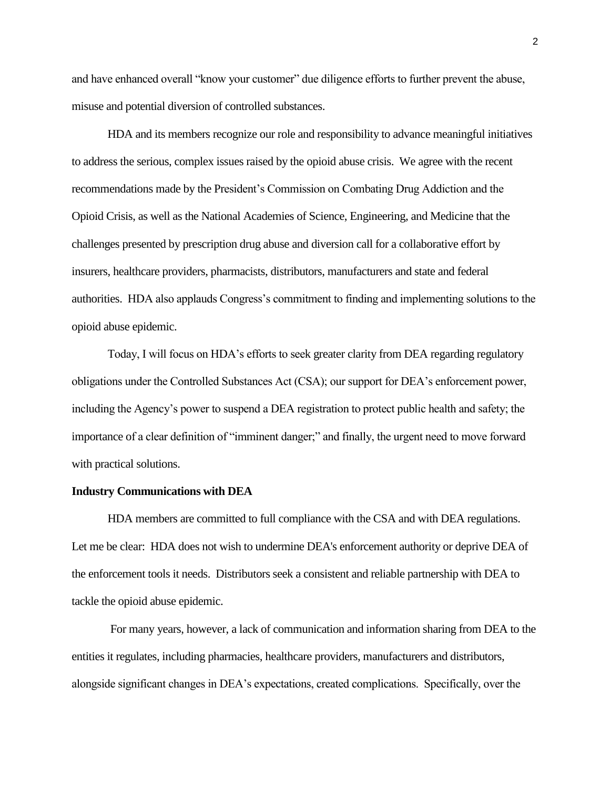and have enhanced overall "know your customer" due diligence efforts to further prevent the abuse, misuse and potential diversion of controlled substances.

HDA and its members recognize our role and responsibility to advance meaningful initiatives to address the serious, complex issues raised by the opioid abuse crisis. We agree with the recent recommendations made by the President's Commission on Combating Drug Addiction and the Opioid Crisis, as well as the National Academies of Science, Engineering, and Medicine that the challenges presented by prescription drug abuse and diversion call for a collaborative effort by insurers, healthcare providers, pharmacists, distributors, manufacturers and state and federal authorities. HDA also applauds Congress's commitment to finding and implementing solutions to the opioid abuse epidemic.

Today, I will focus on HDA's efforts to seek greater clarity from DEA regarding regulatory obligations under the Controlled Substances Act (CSA); our support for DEA's enforcement power, including the Agency's power to suspend a DEA registration to protect public health and safety; the importance of a clear definition of "imminent danger;" and finally, the urgent need to move forward with practical solutions.

#### **Industry Communications with DEA**

HDA members are committed to full compliance with the CSA and with DEA regulations. Let me be clear: HDA does not wish to undermine DEA's enforcement authority or deprive DEA of the enforcement tools it needs. Distributors seek a consistent and reliable partnership with DEA to tackle the opioid abuse epidemic.

For many years, however, a lack of communication and information sharing from DEA to the entities it regulates, including pharmacies, healthcare providers, manufacturers and distributors, alongside significant changes in DEA's expectations, created complications. Specifically, over the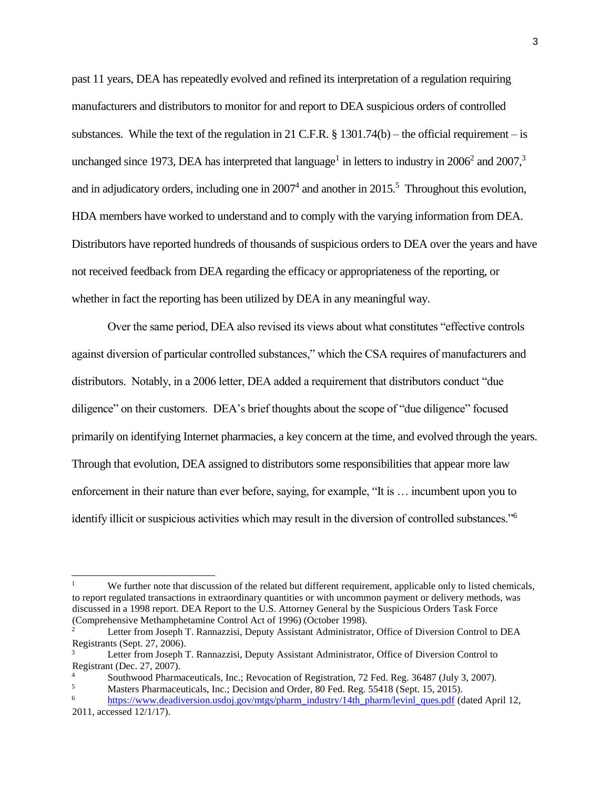past 11 years, DEA has repeatedly evolved and refined its interpretation of a regulation requiring manufacturers and distributors to monitor for and report to DEA suspicious orders of controlled substances. While the text of the regulation in 21 C.F.R.  $\S$  1301.74(b) – the official requirement – is unchanged since 1973, DEA has interpreted that language<sup>1</sup> in letters to industry in 2006<sup>2</sup> and 2007,<sup>3</sup> and in adjudicatory orders, including one in  $2007<sup>4</sup>$  and another in  $2015<sup>5</sup>$ . Throughout this evolution, HDA members have worked to understand and to comply with the varying information from DEA. Distributors have reported hundreds of thousands of suspicious orders to DEA over the years and have not received feedback from DEA regarding the efficacy or appropriateness of the reporting, or whether in fact the reporting has been utilized by DEA in any meaningful way.

Over the same period, DEA also revised its views about what constitutes "effective controls against diversion of particular controlled substances," which the CSA requires of manufacturers and distributors. Notably, in a 2006 letter, DEA added a requirement that distributors conduct "due diligence" on their customers. DEA's brief thoughts about the scope of "due diligence" focused primarily on identifying Internet pharmacies, a key concern at the time, and evolved through the years. Through that evolution, DEA assigned to distributors some responsibilities that appear more law enforcement in their nature than ever before, saying, for example, "It is … incumbent upon you to identify illicit or suspicious activities which may result in the diversion of controlled substances."<sup>6</sup>

l

We further note that discussion of the related but different requirement, applicable only to listed chemicals, to report regulated transactions in extraordinary quantities or with uncommon payment or delivery methods, was discussed in a 1998 report. DEA Report to the U.S. Attorney General by the Suspicious Orders Task Force (Comprehensive Methamphetamine Control Act of 1996) (October 1998).

<sup>2</sup> Letter from Joseph T. Rannazzisi, Deputy Assistant Administrator, Office of Diversion Control to DEA Registrants (Sept. 27, 2006).

Letter from Joseph T. Rannazzisi, Deputy Assistant Administrator, Office of Diversion Control to Registrant (Dec. 27, 2007).

<sup>&</sup>lt;sup>4</sup> Southwood Pharmaceuticals, Inc.; Revocation of Registration, 72 Fed. Reg. 36487 (July 3, 2007).

 $^{5}$  Masters Pharmaceuticals, Inc.; Decision and Order, 80 Fed. Reg. 55418 (Sept. 15, 2015). [https://www.deadiversion.usdoj.gov/mtgs/pharm\\_industry/14th\\_pharm/levinl\\_ques.pdf](https://www.deadiversion.usdoj.gov/mtgs/pharm_industry/14th_pharm/levinl_ques.pdf) (dated April 12, 2011, accessed 12/1/17).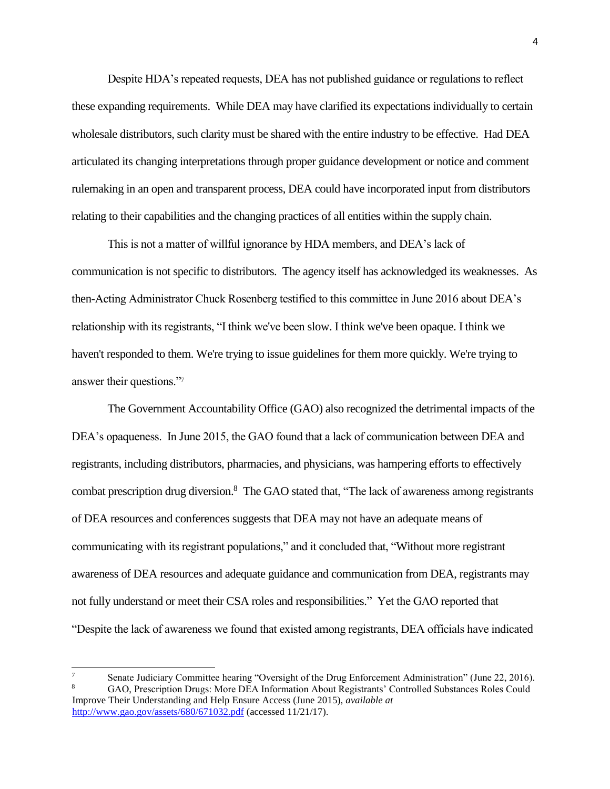Despite HDA's repeated requests, DEA has not published guidance or regulations to reflect these expanding requirements. While DEA may have clarified its expectations individually to certain wholesale distributors, such clarity must be shared with the entire industry to be effective. Had DEA articulated its changing interpretations through proper guidance development or notice and comment rulemaking in an open and transparent process, DEA could have incorporated input from distributors relating to their capabilities and the changing practices of all entities within the supply chain.

This is not a matter of willful ignorance by HDA members, and DEA's lack of communication is not specific to distributors. The agency itself has acknowledged its weaknesses. As then-Acting Administrator Chuck Rosenberg testified to this committee in June 2016 about DEA's relationship with its registrants, "I think we've been slow. I think we've been opaque. I think we haven't responded to them. We're trying to issue guidelines for them more quickly. We're trying to answer their questions."<sup>7</sup>

The Government Accountability Office (GAO) also recognized the detrimental impacts of the DEA's opaqueness. In June 2015, the GAO found that a lack of communication between DEA and registrants, including distributors, pharmacies, and physicians, was hampering efforts to effectively combat prescription drug diversion.<sup>8</sup> The GAO stated that, "The lack of awareness among registrants of DEA resources and conferences suggests that DEA may not have an adequate means of communicating with its registrant populations," and it concluded that, "Without more registrant awareness of DEA resources and adequate guidance and communication from DEA, registrants may not fully understand or meet their CSA roles and responsibilities." Yet the GAO reported that "Despite the lack of awareness we found that existed among registrants, DEA officials have indicated

l

<sup>&</sup>lt;sup>7</sup> Senate Judiciary Committee hearing "Oversight of the Drug Enforcement Administration" (June 22, 2016). <sup>8</sup> GAO, Prescription Drugs: More DEA Information About Registrants' Controlled Substances Roles Could Improve Their Understanding and Help Ensure Access (June 2015), *available at* <http://www.gao.gov/assets/680/671032.pdf> (accessed 11/21/17).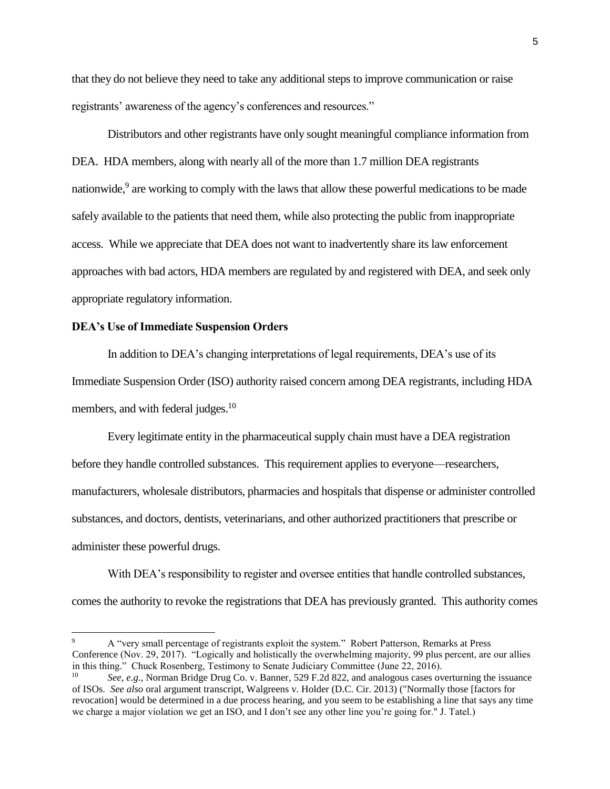that they do not believe they need to take any additional steps to improve communication or raise registrants' awareness of the agency's conferences and resources."

Distributors and other registrants have only sought meaningful compliance information from DEA. HDA members, along with nearly all of the more than 1.7 million DEA registrants nationwide,<sup>9</sup> are working to comply with the laws that allow these powerful medications to be made safely available to the patients that need them, while also protecting the public from inappropriate access. While we appreciate that DEA does not want to inadvertently share its law enforcement approaches with bad actors, HDA members are regulated by and registered with DEA, and seek only appropriate regulatory information.

## **DEA's Use of Immediate Suspension Orders**

l

In addition to DEA's changing interpretations of legal requirements, DEA's use of its Immediate Suspension Order (ISO) authority raised concern among DEA registrants, including HDA members, and with federal judges.<sup>10</sup>

Every legitimate entity in the pharmaceutical supply chain must have a DEA registration before they handle controlled substances. This requirement applies to everyone—researchers, manufacturers, wholesale distributors, pharmacies and hospitals that dispense or administer controlled substances, and doctors, dentists, veterinarians, and other authorized practitioners that prescribe or administer these powerful drugs.

With DEA's responsibility to register and oversee entities that handle controlled substances, comes the authority to revoke the registrations that DEA has previously granted. This authority comes

<sup>9</sup> A "very small percentage of registrants exploit the system." Robert Patterson, Remarks at Press Conference (Nov. 29, 2017). "Logically and holistically the overwhelming majority, 99 plus percent, are our allies in this thing." Chuck Rosenberg, Testimony to Senate Judiciary Committee (June 22, 2016).

<sup>10</sup> *See, e.g*., Norman Bridge Drug Co. v. Banner*,* 529 F.2d 822, and analogous cases overturning the issuance of ISOs. *See also* oral argument transcript, Walgreens v. Holder (D.C. Cir. 2013) ("Normally those [factors for revocation] would be determined in a due process hearing, and you seem to be establishing a line that says any time we charge a major violation we get an ISO, and I don't see any other line you're going for." J. Tatel.)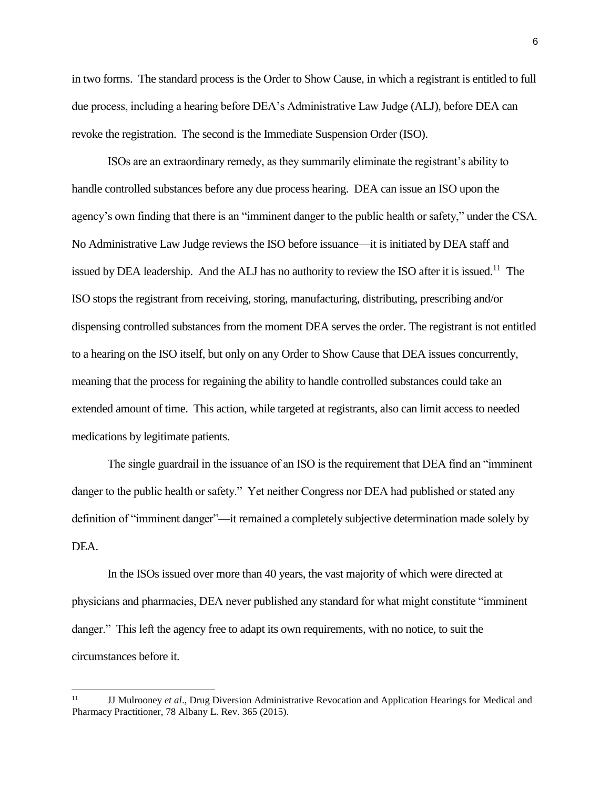in two forms. The standard process is the Order to Show Cause, in which a registrant is entitled to full due process, including a hearing before DEA's Administrative Law Judge (ALJ), before DEA can revoke the registration. The second is the Immediate Suspension Order (ISO).

ISOs are an extraordinary remedy, as they summarily eliminate the registrant's ability to handle controlled substances before any due process hearing. DEA can issue an ISO upon the agency's own finding that there is an "imminent danger to the public health or safety," under the CSA. No Administrative Law Judge reviews the ISO before issuance—it is initiated by DEA staff and issued by DEA leadership. And the ALJ has no authority to review the ISO after it is issued.<sup>11</sup> The ISO stops the registrant from receiving, storing, manufacturing, distributing, prescribing and/or dispensing controlled substances from the moment DEA serves the order. The registrant is not entitled to a hearing on the ISO itself, but only on any Order to Show Cause that DEA issues concurrently, meaning that the process for regaining the ability to handle controlled substances could take an extended amount of time. This action, while targeted at registrants, also can limit access to needed medications by legitimate patients.

The single guardrail in the issuance of an ISO is the requirement that DEA find an "imminent danger to the public health or safety." Yet neither Congress nor DEA had published or stated any definition of "imminent danger"—it remained a completely subjective determination made solely by DEA.

In the ISOs issued over more than 40 years, the vast majority of which were directed at physicians and pharmacies, DEA never published any standard for what might constitute "imminent danger." This left the agency free to adapt its own requirements, with no notice, to suit the circumstances before it.

 $11\,$ <sup>11</sup> JJ Mulrooney *et al*., Drug Diversion Administrative Revocation and Application Hearings for Medical and Pharmacy Practitioner, 78 Albany L. Rev. 365 (2015).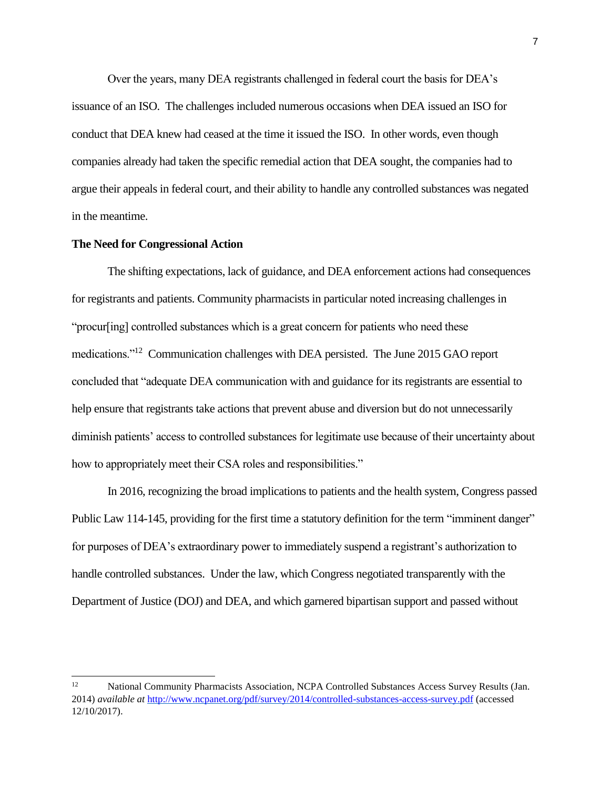Over the years, many DEA registrants challenged in federal court the basis for DEA's issuance of an ISO. The challenges included numerous occasions when DEA issued an ISO for conduct that DEA knew had ceased at the time it issued the ISO. In other words, even though companies already had taken the specific remedial action that DEA sought, the companies had to argue their appeals in federal court, and their ability to handle any controlled substances was negated in the meantime.

# **The Need for Congressional Action**

l

The shifting expectations, lack of guidance, and DEA enforcement actions had consequences for registrants and patients. Community pharmacists in particular noted increasing challenges in "procur[ing] controlled substances which is a great concern for patients who need these medications."<sup>12</sup> Communication challenges with DEA persisted. The June 2015 GAO report concluded that "adequate DEA communication with and guidance for its registrants are essential to help ensure that registrants take actions that prevent abuse and diversion but do not unnecessarily diminish patients' access to controlled substances for legitimate use because of their uncertainty about how to appropriately meet their CSA roles and responsibilities."

In 2016, recognizing the broad implications to patients and the health system, Congress passed Public Law 114-145, providing for the first time a statutory definition for the term "imminent danger" for purposes of DEA's extraordinary power to immediately suspend a registrant's authorization to handle controlled substances. Under the law, which Congress negotiated transparently with the Department of Justice (DOJ) and DEA, and which garnered bipartisan support and passed without

<sup>12</sup> National Community Pharmacists Association, NCPA Controlled Substances Access Survey Results (Jan. 2014) *available at* [http://www.ncpanet.org/pdf/survey/2014/controlled-](http://www.ncpanet.org/pdf/survey/2014/controlled)[substances-access-survey.pdf](http://www.ncpanet.org/pdf/survey/2014/controlled-substances-access-survey.pdf) [\(a](http://www.ncpanet.org/pdf/survey/2014/controlled-substances-access-survey.pdf)ccessed 12/10/2017).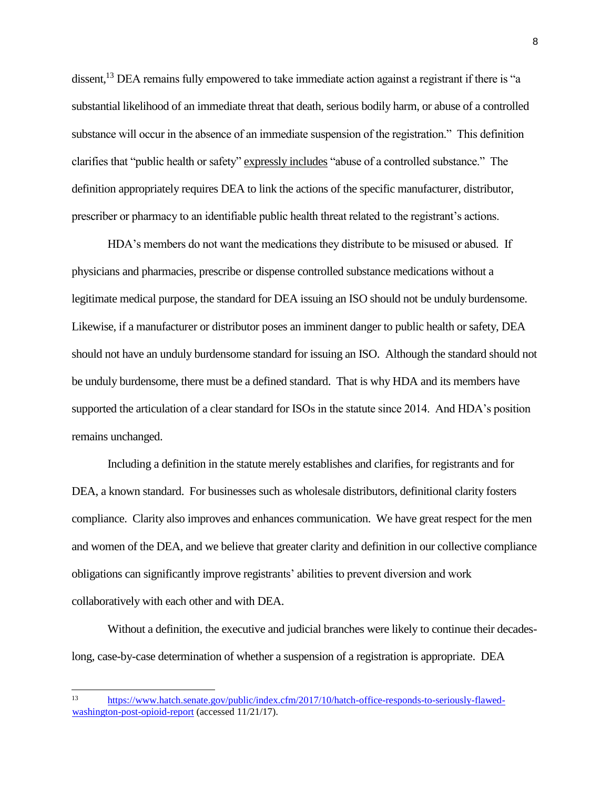dissent,<sup>13</sup> DEA remains fully empowered to take immediate action against a registrant if there is "a substantial likelihood of an immediate threat that death, serious bodily harm, or abuse of a controlled substance will occur in the absence of an immediate suspension of the registration." This definition clarifies that "public health or safety" expressly includes "abuse of a controlled substance." The definition appropriately requires DEA to link the actions of the specific manufacturer, distributor, prescriber or pharmacy to an identifiable public health threat related to the registrant's actions.

HDA's members do not want the medications they distribute to be misused or abused. If physicians and pharmacies, prescribe or dispense controlled substance medications without a legitimate medical purpose, the standard for DEA issuing an ISO should not be unduly burdensome. Likewise, if a manufacturer or distributor poses an imminent danger to public health or safety, DEA should not have an unduly burdensome standard for issuing an ISO. Although the standard should not be unduly burdensome, there must be a defined standard. That is why HDA and its members have supported the articulation of a clear standard for ISOs in the statute since 2014. And HDA's position remains unchanged.

Including a definition in the statute merely establishes and clarifies, for registrants and for DEA, a known standard. For businesses such as wholesale distributors, definitional clarity fosters compliance. Clarity also improves and enhances communication. We have great respect for the men and women of the DEA, and we believe that greater clarity and definition in our collective compliance obligations can significantly improve registrants' abilities to prevent diversion and work collaboratively with each other and with DEA.

Without a definition, the executive and judicial branches were likely to continue their decadeslong, case-by-case determination of whether a suspension of a registration is appropriate. DEA

<sup>13</sup> [https://www.hatch.senate.gov/public/index.cfm/2017/10/hatch-office-responds-to-seriously-flawed](https://www.hatch.senate.gov/public/index.cfm/2017/10/hatch-office-responds-to-seriously-flawed-washington-post-opioid-report)[washington-post-opioid-report](https://www.hatch.senate.gov/public/index.cfm/2017/10/hatch-office-responds-to-seriously-flawed-washington-post-opioid-report) (accessed 11/21/17).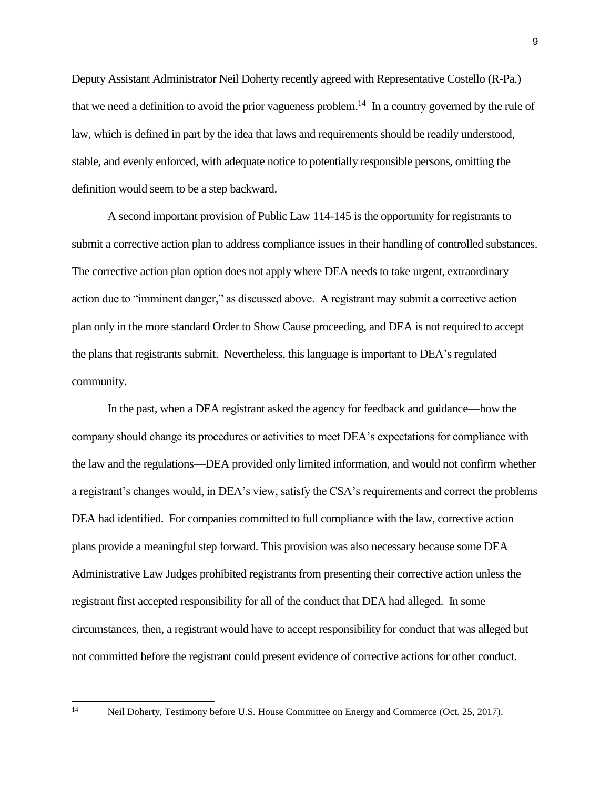Deputy Assistant Administrator Neil Doherty recently agreed with Representative Costello (R-Pa.) that we need a definition to avoid the prior vagueness problem.<sup>14</sup> In a country governed by the rule of law, which is defined in part by the idea that laws and requirements should be readily understood, stable, and evenly enforced, with adequate notice to potentially responsible persons, omitting the definition would seem to be a step backward.

A second important provision of Public Law 114-145 is the opportunity for registrants to submit a corrective action plan to address compliance issues in their handling of controlled substances. The corrective action plan option does not apply where DEA needs to take urgent, extraordinary action due to "imminent danger," as discussed above. A registrant may submit a corrective action plan only in the more standard Order to Show Cause proceeding, and DEA is not required to accept the plans that registrants submit. Nevertheless, this language is important to DEA's regulated community.

In the past, when a DEA registrant asked the agency for feedback and guidance—how the company should change its procedures or activities to meet DEA's expectations for compliance with the law and the regulations—DEA provided only limited information, and would not confirm whether a registrant's changes would, in DEA's view, satisfy the CSA's requirements and correct the problems DEA had identified. For companies committed to full compliance with the law, corrective action plans provide a meaningful step forward. This provision was also necessary because some DEA Administrative Law Judges prohibited registrants from presenting their corrective action unless the registrant first accepted responsibility for all of the conduct that DEA had alleged. In some circumstances, then, a registrant would have to accept responsibility for conduct that was alleged but not committed before the registrant could present evidence of corrective actions for other conduct.

l

<sup>&</sup>lt;sup>14</sup> Neil Doherty, Testimony before U.S. House Committee on Energy and Commerce (Oct. 25, 2017).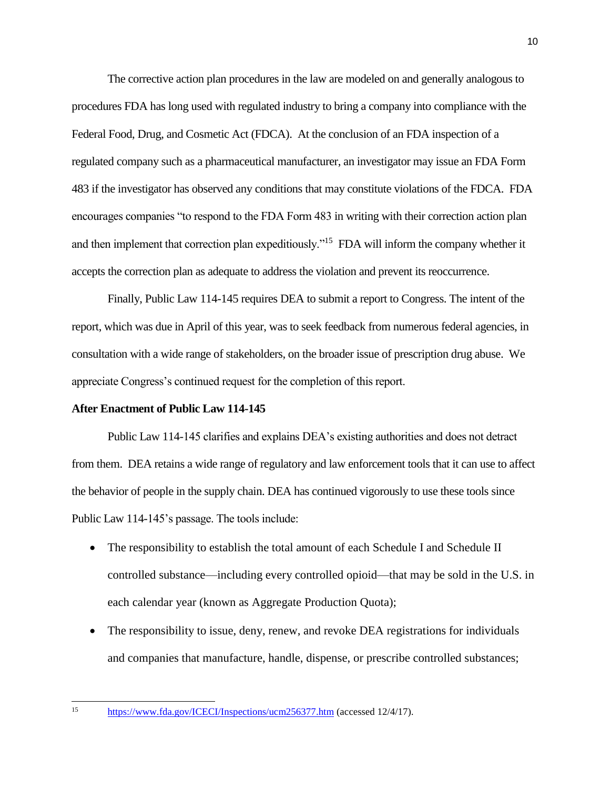The corrective action plan procedures in the law are modeled on and generally analogous to procedures FDA has long used with regulated industry to bring a company into compliance with the Federal Food, Drug, and Cosmetic Act (FDCA). At the conclusion of an FDA inspection of a regulated company such as a pharmaceutical manufacturer, an investigator may issue an FDA Form 483 if the investigator has observed any conditions that may constitute violations of the FDCA. FDA encourages companies "to respond to the FDA Form 483 in writing with their correction action plan and then implement that correction plan expeditiously."<sup>15</sup> FDA will inform the company whether it accepts the correction plan as adequate to address the violation and prevent its reoccurrence.

Finally, Public Law 114-145 requires DEA to submit a report to Congress. The intent of the report, which was due in April of this year, was to seek feedback from numerous federal agencies, in consultation with a wide range of stakeholders, on the broader issue of prescription drug abuse. We appreciate Congress's continued request for the completion of this report.

## **After Enactment of Public Law 114-145**

Public Law 114-145 clarifies and explains DEA's existing authorities and does not detract from them. DEA retains a wide range of regulatory and law enforcement tools that it can use to affect the behavior of people in the supply chain. DEA has continued vigorously to use these tools since Public Law 114-145's passage. The tools include:

- The responsibility to establish the total amount of each Schedule I and Schedule II controlled substance—including every controlled opioid—that may be sold in the U.S. in each calendar year (known as Aggregate Production Quota);
- The responsibility to issue, deny, renew, and revoke DEA registrations for individuals and companies that manufacture, handle, dispense, or prescribe controlled substances;

l

<sup>&</sup>lt;sup>15</sup> <https://www.fda.gov/ICECI/Inspections/ucm256377.htm> (accessed 12/4/17).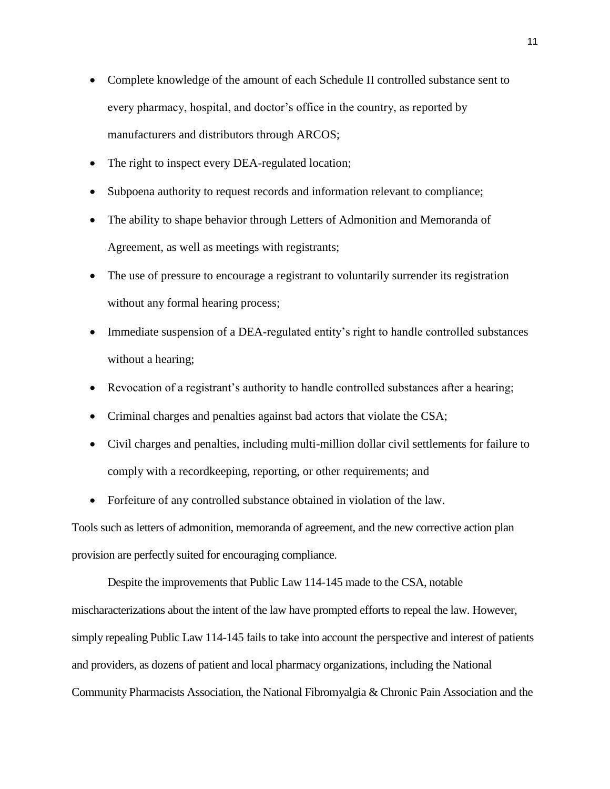- Complete knowledge of the amount of each Schedule II controlled substance sent to every pharmacy, hospital, and doctor's office in the country, as reported by manufacturers and distributors through ARCOS;
- The right to inspect every DEA-regulated location;
- Subpoena authority to request records and information relevant to compliance;
- The ability to shape behavior through Letters of Admonition and Memoranda of Agreement, as well as meetings with registrants;
- The use of pressure to encourage a registrant to voluntarily surrender its registration without any formal hearing process;
- Immediate suspension of a DEA-regulated entity's right to handle controlled substances without a hearing;
- Revocation of a registrant's authority to handle controlled substances after a hearing;
- Criminal charges and penalties against bad actors that violate the CSA;
- Civil charges and penalties, including multi-million dollar civil settlements for failure to comply with a recordkeeping, reporting, or other requirements; and
- Forfeiture of any controlled substance obtained in violation of the law.

Tools such as letters of admonition, memoranda of agreement, and the new corrective action plan provision are perfectly suited for encouraging compliance.

Despite the improvements that Public Law 114-145 made to the CSA, notable mischaracterizations about the intent of the law have prompted efforts to repeal the law. However, simply repealing Public Law 114-145 fails to take into account the perspective and interest of patients and providers, as dozens of patient and local pharmacy organizations, including the National Community Pharmacists Association, the National Fibromyalgia & Chronic Pain Association and the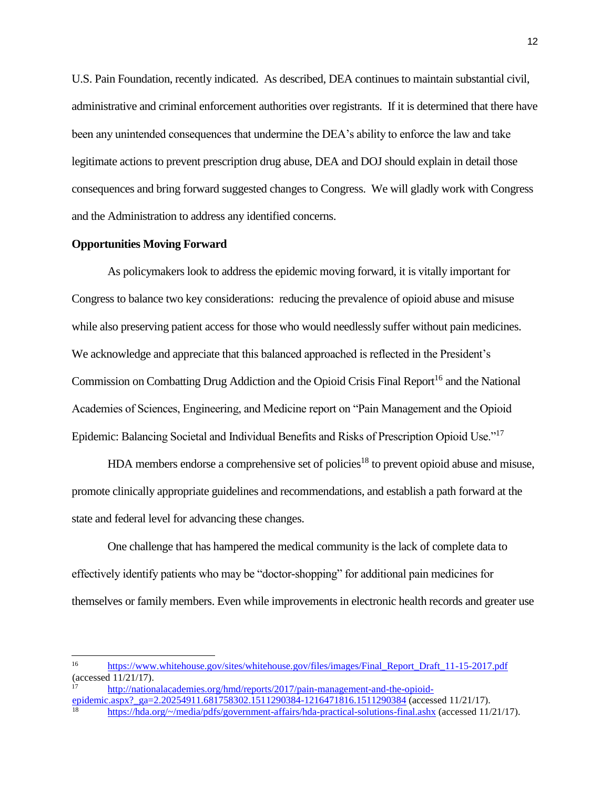U.S. Pain Foundation, recently indicated. As described, DEA continues to maintain substantial civil, administrative and criminal enforcement authorities over registrants. If it is determined that there have been any unintended consequences that undermine the DEA's ability to enforce the law and take legitimate actions to prevent prescription drug abuse, DEA and DOJ should explain in detail those consequences and bring forward suggested changes to Congress. We will gladly work with Congress and the Administration to address any identified concerns.

### **Opportunities Moving Forward**

As policymakers look to address the epidemic moving forward, it is vitally important for Congress to balance two key considerations: reducing the prevalence of opioid abuse and misuse while also preserving patient access for those who would needlessly suffer without pain medicines. We acknowledge and appreciate that this balanced approached is reflected in the President's Commission on Combatting Drug Addiction and the Opioid Crisis Final Report<sup>16</sup> and the National Academies of Sciences, Engineering, and Medicine report on "Pain Management and the Opioid Epidemic: Balancing Societal and Individual Benefits and Risks of Prescription Opioid Use."<sup>17</sup>

HDA members endorse a comprehensive set of policies<sup>18</sup> to prevent opioid abuse and misuse, promote clinically appropriate guidelines and recommendations, and establish a path forward at the state and federal level for advancing these changes.

One challenge that has hampered the medical community is the lack of complete data to effectively identify patients who may be "doctor-shopping" for additional pain medicines for themselves or family members. Even while improvements in electronic health records and greater use

 $16\,$ [https://www.whitehouse.gov/sites/whitehouse.gov/files/images/Final\\_Report\\_Draft\\_11-15-2017.pdf](https://www.whitehouse.gov/sites/whitehouse.gov/files/images/Final_Report_Draft_11-15-2017.pdf) (accessed 11/21/17).

[http://nationalacademies.org/hmd/reports/2017/pain-management-and-the-opioid](http://nationalacademies.org/hmd/reports/2017/pain-management-and-the-opioid-epidemic.aspx?_ga=2.20254911.681758302.1511290384-1216471816.1511290384)epidemic.aspx? ga=2.20254911.681758302.1511290384-1216471816.1511290384 (accessed 11/21/17).

<https://hda.org/~/media/pdfs/government-affairs/hda-practical-solutions-final.ashx> (accessed 11/21/17).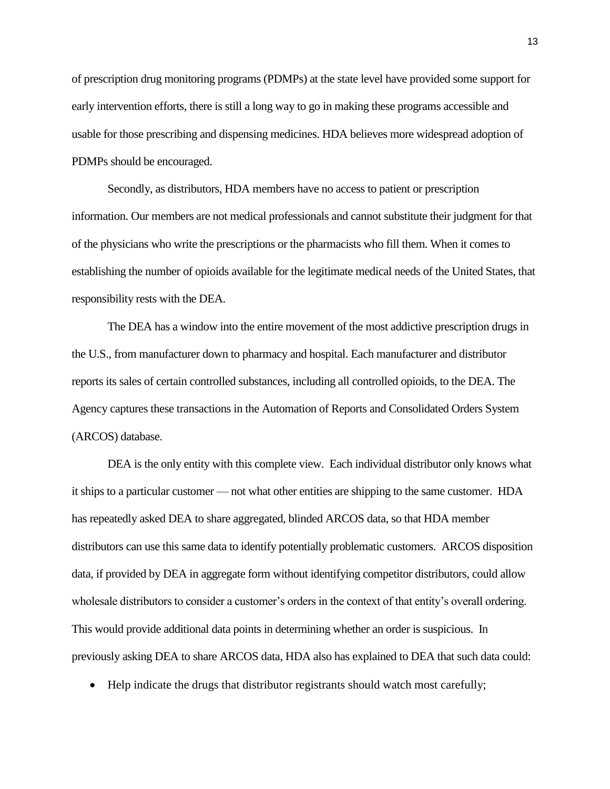of prescription drug monitoring programs (PDMPs) at the state level have provided some support for early intervention efforts, there is still a long way to go in making these programs accessible and usable for those prescribing and dispensing medicines. HDA believes more widespread adoption of PDMPs should be encouraged.

Secondly, as distributors, HDA members have no access to patient or prescription information. Our members are not medical professionals and cannot substitute their judgment for that of the physicians who write the prescriptions or the pharmacists who fill them. When it comes to establishing the number of opioids available for the legitimate medical needs of the United States, that responsibility rests with the DEA.

The DEA has a window into the entire movement of the most addictive prescription drugs in the U.S., from manufacturer down to pharmacy and hospital. Each manufacturer and distributor reports its sales of certain controlled substances, including all controlled opioids, to the DEA. The Agency captures these transactions in the Automation of Reports and Consolidated Orders System (ARCOS) database.

DEA is the only entity with this complete view. Each individual distributor only knows what it ships to a particular customer — not what other entities are shipping to the same customer. HDA has repeatedly asked DEA to share aggregated, blinded ARCOS data, so that HDA member distributors can use this same data to identify potentially problematic customers. ARCOS disposition data, if provided by DEA in aggregate form without identifying competitor distributors, could allow wholesale distributors to consider a customer's orders in the context of that entity's overall ordering. This would provide additional data points in determining whether an order is suspicious. In previously asking DEA to share ARCOS data, HDA also has explained to DEA that such data could:

• Help indicate the drugs that distributor registrants should watch most carefully;